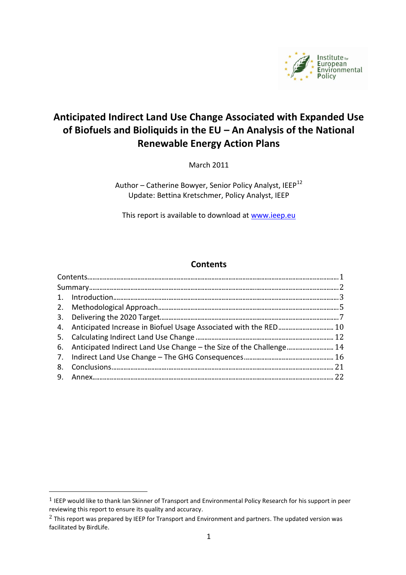

# **Anticipated Indirect Land Use Change Associated with Expanded Use of Biofuels and Bioliquids in the EU – An Analysis of the National Renewable Energy Action Plans**

March 2011

Author - Catherine Bowyer, Senior Policy Analyst, IEEP<sup>12</sup> Update: Bettina Kretschmer, Policy Analyst, IEEP

This report is available to download at [www.ieep.eu](http://www.ieep.eu/)

#### **Contents**

<span id="page-0-0"></span>

| 4. Anticipated Increase in Biofuel Usage Associated with the RED 10     |  |
|-------------------------------------------------------------------------|--|
|                                                                         |  |
| 6. Anticipated Indirect Land Use Change – the Size of the Challenge  14 |  |
|                                                                         |  |
|                                                                         |  |
|                                                                         |  |
|                                                                         |  |

 $\overline{a}$ 

<sup>1</sup> IEEP would like to thank Ian Skinner of Transport and Environmental Policy Research for his support in peer reviewing this report to ensure its quality and accuracy.

<sup>&</sup>lt;sup>2</sup> This report was prepared by IEEP for Transport and Environment and partners. The updated version was facilitated by BirdLife.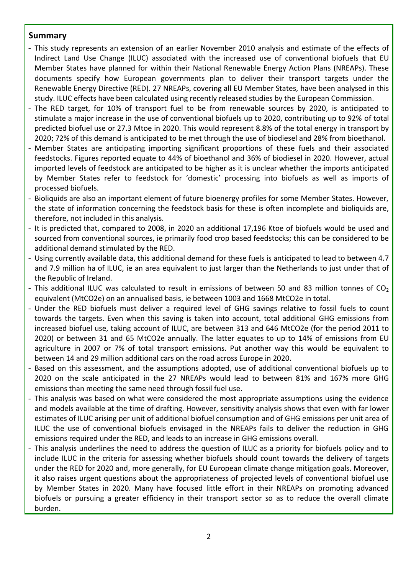#### <span id="page-1-0"></span>**Summary**

- This study represents an extension of an earlier November 2010 analysis and estimate of the effects of Indirect Land Use Change (ILUC) associated with the increased use of conventional biofuels that EU Member States have planned for within their National Renewable Energy Action Plans (NREAPs). These documents specify how European governments plan to deliver their transport targets under the Renewable Energy Directive (RED). 27 NREAPs, covering all EU Member States, have been analysed in this study. ILUC effects have been calculated using recently released studies by the European Commission.
- The RED target, for 10% of transport fuel to be from renewable sources by 2020, is anticipated to stimulate a major increase in the use of conventional biofuels up to 2020, contributing up to 92% of total predicted biofuel use or 27.3 Mtoe in 2020. This would represent 8.8% of the total energy in transport by 2020; 72% of this demand is anticipated to be met through the use of biodiesel and 28% from bioethanol.
- Member States are anticipating importing significant proportions of these fuels and their associated feedstocks. Figures reported equate to 44% of bioethanol and 36% of biodiesel in 2020. However, actual imported levels of feedstock are anticipated to be higher as it is unclear whether the imports anticipated by Member States refer to feedstock for 'domestic' processing into biofuels as well as imports of processed biofuels.
- Bioliquids are also an important element of future bioenergy profiles for some Member States. However, the state of information concerning the feedstock basis for these is often incomplete and bioliquids are, therefore, not included in this analysis.
- It is predicted that, compared to 2008, in 2020 an additional 17,196 Ktoe of biofuels would be used and sourced from conventional sources, ie primarily food crop based feedstocks; this can be considered to be additional demand stimulated by the RED.
- Using currently available data, this additional demand for these fuels is anticipated to lead to between 4.7 and 7.9 million ha of ILUC, ie an area equivalent to just larger than the Netherlands to just under that of the Republic of Ireland.
- This additional ILUC was calculated to result in emissions of between 50 and 83 million tonnes of  $CO<sub>2</sub>$ equivalent (MtCO2e) on an annualised basis, ie between 1003 and 1668 MtCO2e in total.
- Under the RED biofuels must deliver a required level of GHG savings relative to fossil fuels to count towards the targets. Even when this saving is taken into account, total additional GHG emissions from increased biofuel use, taking account of ILUC, are between 313 and 646 MtCO2e (for the period 2011 to 2020) or between 31 and 65 MtCO2e annually. The latter equates to up to 14% of emissions from EU agriculture in 2007 or 7% of total transport emissions. Put another way this would be equivalent to between 14 and 29 million additional cars on the road across Europe in 2020.
- Based on this assessment, and the assumptions adopted, use of additional conventional biofuels up to 2020 on the scale anticipated in the 27 NREAPs would lead to between 81% and 167% more GHG emissions than meeting the same need through fossil fuel use.
- This analysis was based on what were considered the most appropriate assumptions using the evidence and models available at the time of drafting. However, sensitivity analysis shows that even with far lower estimates of ILUC arising per unit of additional biofuel consumption and of GHG emissions per unit area of ILUC the use of conventional biofuels envisaged in the NREAPs fails to deliver the reduction in GHG emissions required under the RED, and leads to an increase in GHG emissions overall.
- This analysis underlines the need to address the question of ILUC as a priority for biofuels policy and to include ILUC in the criteria for assessing whether biofuels should count towards the delivery of targets under the RED for 2020 and, more generally, for EU European climate change mitigation goals. Moreover, it also raises urgent questions about the appropriateness of projected levels of conventional biofuel use by Member States in 2020. Many have focused little effort in their NREAPs on promoting advanced biofuels or pursuing a greater efficiency in their transport sector so as to reduce the overall climate burden.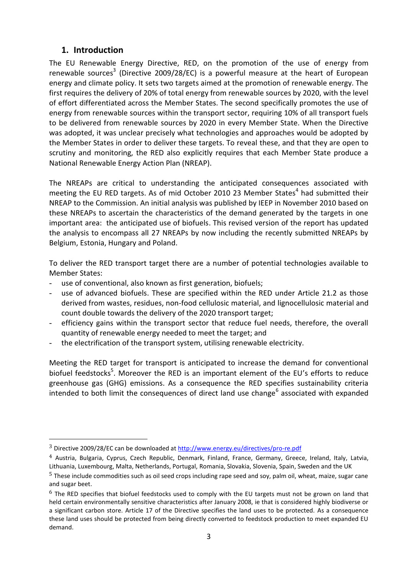# <span id="page-2-0"></span>**1. Introduction**

 $\overline{\phantom{a}}$ 

The EU Renewable Energy Directive, RED, on the promotion of the use of energy from renewable sources<sup>3</sup> (Directive 2009/28/EC) is a powerful measure at the heart of European energy and climate policy. It sets two targets aimed at the promotion of renewable energy. The first requires the delivery of 20% of total energy from renewable sources by 2020, with the level of effort differentiated across the Member States. The second specifically promotes the use of energy from renewable sources within the transport sector, requiring 10% of all transport fuels to be delivered from renewable sources by 2020 in every Member State. When the Directive was adopted, it was unclear precisely what technologies and approaches would be adopted by the Member States in order to deliver these targets. To reveal these, and that they are open to scrutiny and monitoring, the RED also explicitly requires that each Member State produce a National Renewable Energy Action Plan (NREAP).

The NREAPs are critical to understanding the anticipated consequences associated with meeting the EU RED targets. As of mid October 2010 23 Member States<sup>4</sup> had submitted their NREAP to the Commission. An initial analysis was published by IEEP in November 2010 based on these NREAPs to ascertain the characteristics of the demand generated by the targets in one important area: the anticipated use of biofuels. This revised version of the report has updated the analysis to encompass all 27 NREAPs by now including the recently submitted NREAPs by Belgium, Estonia, Hungary and Poland.

To deliver the RED transport target there are a number of potential technologies available to Member States:

- use of conventional, also known as first generation, biofuels;
- use of advanced biofuels. These are specified within the RED under Article 21.2 as those derived from wastes, residues, non-food cellulosic material, and lignocellulosic material and count double towards the delivery of the 2020 transport target;
- efficiency gains within the transport sector that reduce fuel needs, therefore, the overall quantity of renewable energy needed to meet the target; and
- the electrification of the transport system, utilising renewable electricity.

Meeting the RED target for transport is anticipated to increase the demand for conventional biofuel feedstocks<sup>5</sup>. Moreover the RED is an important element of the EU's efforts to reduce greenhouse gas (GHG) emissions. As a consequence the RED specifies sustainability criteria intended to both limit the consequences of direct land use change<sup>6</sup> associated with expanded

<sup>3</sup> Directive 2009/28/EC can be downloaded a[t http://www.energy.eu/directives/pro-re.pdf](http://www.energy.eu/directives/pro-re.pdf)

<sup>4</sup> Austria, Bulgaria, Cyprus, Czech Republic, Denmark, Finland, France, Germany, Greece, Ireland, Italy, Latvia, Lithuania, Luxembourg, Malta, Netherlands, Portugal, Romania, Slovakia, Slovenia, Spain, Sweden and the UK

<sup>5</sup> These include commodities such as oil seed crops including rape seed and soy, palm oil, wheat, maize, sugar cane and sugar beet.

 $6$  The RED specifies that biofuel feedstocks used to comply with the EU targets must not be grown on land that held certain environmentally sensitive characteristics after January 2008, ie that is considered highly biodiverse or a significant carbon store. Article 17 of the Directive specifies the land uses to be protected. As a consequence these land uses should be protected from being directly converted to feedstock production to meet expanded EU demand.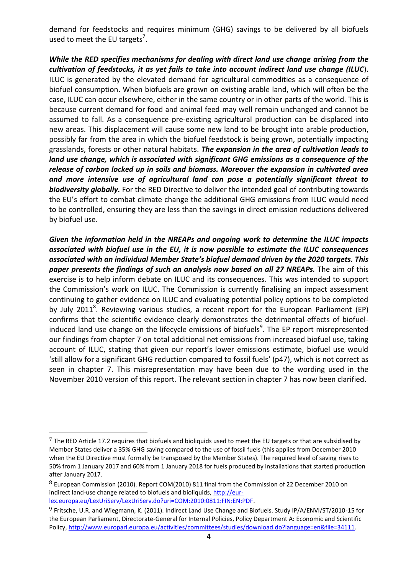demand for feedstocks and requires minimum (GHG) savings to be delivered by all biofuels used to meet the EU targets<sup>7</sup>.

*While the RED specifies mechanisms for dealing with direct land use change arising from the cultivation of feedstocks, it as yet fails to take into account indirect land use change (ILUC*). ILUC is generated by the elevated demand for agricultural commodities as a consequence of biofuel consumption. When biofuels are grown on existing arable land, which will often be the case, ILUC can occur elsewhere, either in the same country or in other parts of the world. This is because current demand for food and animal feed may well remain unchanged and cannot be assumed to fall. As a consequence pre-existing agricultural production can be displaced into new areas. This displacement will cause some new land to be brought into arable production, possibly far from the area in which the biofuel feedstock is being grown, potentially impacting grasslands, forests or other natural habitats. *The expansion in the area of cultivation leads to land use change, which is associated with significant GHG emissions as a consequence of the release of carbon locked up in soils and biomass. Moreover the expansion in cultivated area and more intensive use of agricultural land can pose a potentially significant threat to biodiversity globally.* For the RED Directive to deliver the intended goal of contributing towards the EU's effort to combat climate change the additional GHG emissions from ILUC would need to be controlled, ensuring they are less than the savings in direct emission reductions delivered by biofuel use.

*Given the information held in the NREAPs and ongoing work to determine the ILUC impacts associated with biofuel use in the EU, it is now possible to estimate the ILUC consequences associated with an individual Member State's biofuel demand driven by the 2020 targets. This paper presents the findings of such an analysis now based on all 27 NREAPs.* The aim of this exercise is to help inform debate on ILUC and its consequences. This was intended to support the Commission's work on ILUC. The Commission is currently finalising an impact assessment continuing to gather evidence on ILUC and evaluating potential policy options to be completed by July 2011<sup>8</sup>. Reviewing various studies, a recent report for the European Parliament (EP) confirms that the scientific evidence clearly demonstrates the detrimental effects of biofuelinduced land use change on the lifecycle emissions of biofuels<sup>9</sup>. The EP report misrepresented our findings from chapter 7 on total additional net emissions from increased biofuel use, taking account of ILUC, stating that given our report's lower emissions estimate, biofuel use would 'still allow for a significant GHG reduction compared to fossil fuels' (p47), which is not correct as seen in chapter 7. This misrepresentation may have been due to the wording used in the November 2010 version of this report. The relevant section in chapter 7 has now been clarified.

 $7$  The RED Article 17.2 requires that biofuels and bioliquids used to meet the EU targets or that are subsidised by Member States deliver a 35% GHG saving compared to the use of fossil fuels (this applies from December 2010 when the EU Directive must formally be transposed by the Member States). The required level of saving rises to 50% from 1 January 2017 and 60% from 1 January 2018 for fuels produced by installations that started production after January 2017.

<sup>8</sup> European Commission (2010). Report COM(2010) 811 final from the Commission of 22 December 2010 on indirect land-use change related to biofuels and bioliquids[, http://eur](http://eur-lex.europa.eu/LexUriServ/LexUriServ.do?uri=COM:2010:0811:FIN:EN:PDF)[lex.europa.eu/LexUriServ/LexUriServ.do?uri=COM:2010:0811:FIN:EN:PDF.](http://eur-lex.europa.eu/LexUriServ/LexUriServ.do?uri=COM:2010:0811:FIN:EN:PDF)

<sup>&</sup>lt;sup>9</sup> Fritsche, U.R. and Wiegmann, K. (2011). Indirect Land Use Change and Biofuels. Study IP/A/ENVI/ST/2010-15 for the European Parliament, Directorate-General for Internal Policies, Policy Department A: Economic and Scientific Policy, [http://www.europarl.europa.eu/activities/committees/studies/download.do?language=en&file=34111.](http://www.europarl.europa.eu/activities/committees/studies/download.do?language=en&file=34111)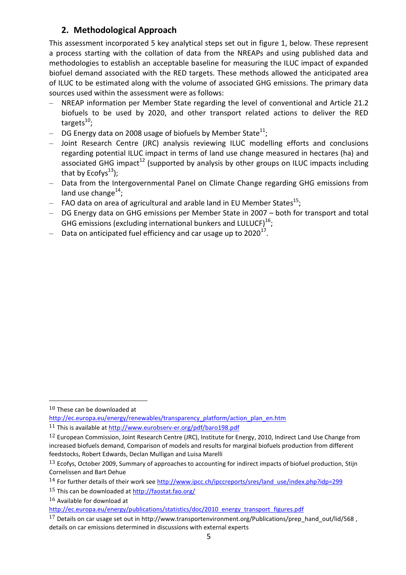# **2. Methodological Approach**

<span id="page-4-0"></span>This assessment incorporated 5 key analytical steps set out in figure 1, below. These represent a process starting with the collation of data from the NREAPs and using published data and methodologies to establish an acceptable baseline for measuring the ILUC impact of expanded biofuel demand associated with the RED targets. These methods allowed the anticipated area of ILUC to be estimated along with the volume of associated GHG emissions. The primary data sources used within the assessment were as follows:

- NREAP information per Member State regarding the level of conventional and Article 21.2 biofuels to be used by 2020, and other transport related actions to deliver the RED targets<sup>10</sup>;
- $-$  DG Energy data on 2008 usage of biofuels by Member State $^{11};$
- Joint Research Centre (JRC) analysis reviewing ILUC modelling efforts and conclusions regarding potential ILUC impact in terms of land use change measured in hectares (ha) and associated GHG impact<sup>12</sup> (supported by analysis by other groups on ILUC impacts including that by Ecofys $^{13}$ );
- Data from the Intergovernmental Panel on Climate Change regarding GHG emissions from land use change<sup>14</sup>;
- $-$  FAO data on area of agricultural and arable land in EU Member States<sup>15</sup>;
- DG Energy data on GHG emissions per Member State in 2007 both for transport and total GHG emissions (excluding international bunkers and LULUCF) $^{16}$ ;
- $-$  Data on anticipated fuel efficiency and car usage up to 2020<sup>17</sup>.

 $\overline{a}$ 

 $16$  Available for download at

<sup>10</sup> These can be downloaded at

[http://ec.europa.eu/energy/renewables/transparency\\_platform/action\\_plan\\_en.htm](http://ec.europa.eu/energy/renewables/transparency_platform/action_plan_en.htm) <sup>11</sup> This is available at<http://www.eurobserv-er.org/pdf/baro198.pdf>

<sup>&</sup>lt;sup>12</sup> European Commission, Joint Research Centre (JRC), Institute for Energy, 2010, Indirect Land Use Change from increased biofuels demand, Comparison of models and results for marginal biofuels production from different feedstocks, Robert Edwards, Declan Mulligan and Luisa Marelli

<sup>13</sup> Ecofys, October 2009, Summary of approaches to accounting for indirect impacts of biofuel production, Stijn Cornelissen and Bart Dehue

<sup>&</sup>lt;sup>14</sup> For further details of their work see [http://www.ipcc.ch/ipccreports/sres/land\\_use/index.php?idp=299](http://www.ipcc.ch/ipccreports/sres/land_use/index.php?idp=299)

<sup>15</sup> This can be downloaded a[t http://faostat.fao.org/](http://faostat.fao.org/)

[http://ec.europa.eu/energy/publications/statistics/doc/2010\\_energy\\_transport\\_figures.pdf](http://ec.europa.eu/energy/publications/statistics/doc/2010_energy_transport_figures.pdf)

<sup>17</sup> Details on car usage set out in http://www.transportenvironment.org/Publications/prep\_hand\_out/lid/568 , details on car emissions determined in discussions with external experts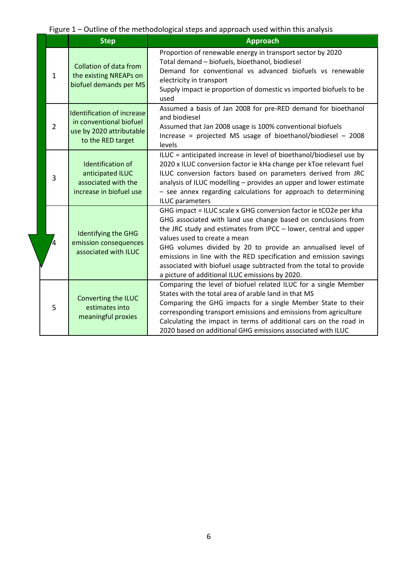Figure 1 – Outline of the methodological steps and approach used within this analysis

|  |                | <b>Step</b>                                                                                            | <b>Approach</b>                                                                                                                                                                                                                                                                                                                                                                                                                                                                                    |  |  |
|--|----------------|--------------------------------------------------------------------------------------------------------|----------------------------------------------------------------------------------------------------------------------------------------------------------------------------------------------------------------------------------------------------------------------------------------------------------------------------------------------------------------------------------------------------------------------------------------------------------------------------------------------------|--|--|
|  | $\mathbf{1}$   | Collation of data from<br>the existing NREAPs on<br>biofuel demands per MS                             | Proportion of renewable energy in transport sector by 2020<br>Total demand - biofuels, bioethanol, biodiesel<br>Demand for conventional vs advanced biofuels vs renewable<br>electricity in transport<br>Supply impact ie proportion of domestic vs imported biofuels to be<br>used                                                                                                                                                                                                                |  |  |
|  | $\overline{2}$ | Identification of increase<br>in conventional biofuel<br>use by 2020 attributable<br>to the RED target | Assumed a basis of Jan 2008 for pre-RED demand for bioethanol<br>and biodiesel<br>Assumed that Jan 2008 usage is 100% conventional biofuels<br>Increase = projected MS usage of bioethanol/biodiesel - 2008<br>levels                                                                                                                                                                                                                                                                              |  |  |
|  | $\overline{3}$ | <b>Identification of</b><br>anticipated ILUC<br>associated with the<br>increase in biofuel use         | ILUC = anticipated increase in level of bioethanol/biodiesel use by<br>2020 x ILUC conversion factor ie kHa change per kToe relevant fuel<br>ILUC conversion factors based on parameters derived from JRC<br>analysis of ILUC modelling - provides an upper and lower estimate<br>- see annex regarding calculations for approach to determining<br>ILUC parameters                                                                                                                                |  |  |
|  | 4              | Identifying the GHG<br>emission consequences<br>associated with ILUC                                   | GHG impact = ILUC scale x GHG conversion factor ie tCO2e per kha<br>GHG associated with land use change based on conclusions from<br>the JRC study and estimates from IPCC - lower, central and upper<br>values used to create a mean<br>GHG volumes divided by 20 to provide an annualised level of<br>emissions in line with the RED specification and emission savings<br>associated with biofuel usage subtracted from the total to provide<br>a picture of additional ILUC emissions by 2020. |  |  |
|  | 5              | Converting the ILUC<br>estimates into<br>meaningful proxies                                            | Comparing the level of biofuel related ILUC for a single Member<br>States with the total area of arable land in that MS<br>Comparing the GHG impacts for a single Member State to their<br>corresponding transport emissions and emissions from agriculture<br>Calculating the impact in terms of additional cars on the road in<br>2020 based on additional GHG emissions associated with ILUC                                                                                                    |  |  |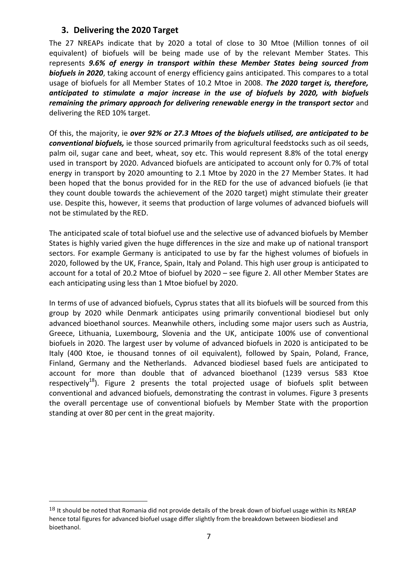### **3. Delivering the 2020 Target**

<span id="page-6-0"></span>The 27 NREAPs indicate that by 2020 a total of close to 30 Mtoe (Million tonnes of oil equivalent) of biofuels will be being made use of by the relevant Member States. This represents *9.6% of energy in transport within these Member States being sourced from biofuels in 2020*, taking account of energy efficiency gains anticipated. This compares to a total usage of biofuels for all Member States of 10.2 Mtoe in 2008. *The 2020 target is, therefore, anticipated to stimulate a major increase in the use of biofuels by 2020, with biofuels remaining the primary approach for delivering renewable energy in the transport sector* and delivering the RED 10% target.

Of this, the majority, ie *over 92% or 27.3 Mtoes of the biofuels utilised, are anticipated to be conventional biofuels,* ie those sourced primarily from agricultural feedstocks such as oil seeds, palm oil, sugar cane and beet, wheat, soy etc. This would represent 8.8% of the total energy used in transport by 2020. Advanced biofuels are anticipated to account only for 0.7% of total energy in transport by 2020 amounting to 2.1 Mtoe by 2020 in the 27 Member States. It had been hoped that the bonus provided for in the RED for the use of advanced biofuels (ie that they count double towards the achievement of the 2020 target) might stimulate their greater use. Despite this, however, it seems that production of large volumes of advanced biofuels will not be stimulated by the RED.

The anticipated scale of total biofuel use and the selective use of advanced biofuels by Member States is highly varied given the huge differences in the size and make up of national transport sectors. For example Germany is anticipated to use by far the highest volumes of biofuels in 2020, followed by the UK, France, Spain, Italy and Poland. This high user group is anticipated to account for a total of 20.2 Mtoe of biofuel by 2020 – see figure 2. All other Member States are each anticipating using less than 1 Mtoe biofuel by 2020.

In terms of use of advanced biofuels, Cyprus states that all its biofuels will be sourced from this group by 2020 while Denmark anticipates using primarily conventional biodiesel but only advanced bioethanol sources. Meanwhile others, including some major users such as Austria, Greece, Lithuania, Luxembourg, Slovenia and the UK, anticipate 100% use of conventional biofuels in 2020. The largest user by volume of advanced biofuels in 2020 is anticipated to be Italy (400 Ktoe, ie thousand tonnes of oil equivalent), followed by Spain, Poland, France, Finland, Germany and the Netherlands. Advanced biodiesel based fuels are anticipated to account for more than double that of advanced bioethanol (1239 versus 583 Ktoe respectively<sup>18</sup>). Figure 2 presents the total projected usage of biofuels split between conventional and advanced biofuels, demonstrating the contrast in volumes. Figure 3 presents the overall percentage use of conventional biofuels by Member State with the proportion standing at over 80 per cent in the great majority.

 $18$  It should be noted that Romania did not provide details of the break down of biofuel usage within its NREAP hence total figures for advanced biofuel usage differ slightly from the breakdown between biodiesel and bioethanol.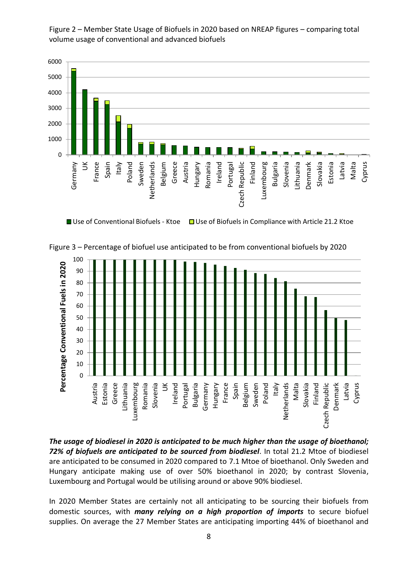Figure 2 – Member State Usage of Biofuels in 2020 based on NREAP figures – comparing total volume usage of conventional and advanced biofuels



Figure 3 – Percentage of biofuel use anticipated to be from conventional biofuels by 2020 100



*The usage of biodiesel in 2020 is anticipated to be much higher than the usage of bioethanol; 72% of biofuels are anticipated to be sourced from biodiesel*. In total 21.2 Mtoe of biodiesel are anticipated to be consumed in 2020 compared to 7.1 Mtoe of bioethanol. Only Sweden and Hungary anticipate making use of over 50% bioethanol in 2020; by contrast Slovenia, Luxembourg and Portugal would be utilising around or above 90% biodiesel.

In 2020 Member States are certainly not all anticipating to be sourcing their biofuels from domestic sources, with *many relying on a high proportion of imports* to secure biofuel supplies. On average the 27 Member States are anticipating importing 44% of bioethanol and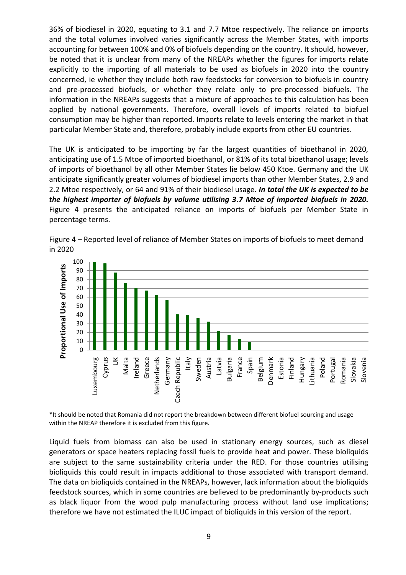36% of biodiesel in 2020, equating to 3.1 and 7.7 Mtoe respectively. The reliance on imports and the total volumes involved varies significantly across the Member States, with imports accounting for between 100% and 0% of biofuels depending on the country. It should, however, be noted that it is unclear from many of the NREAPs whether the figures for imports relate explicitly to the importing of all materials to be used as biofuels in 2020 into the country concerned, ie whether they include both raw feedstocks for conversion to biofuels in country and pre-processed biofuels, or whether they relate only to pre-processed biofuels. The information in the NREAPs suggests that a mixture of approaches to this calculation has been applied by national governments. Therefore, overall levels of imports related to biofuel consumption may be higher than reported. Imports relate to levels entering the market in that particular Member State and, therefore, probably include exports from other EU countries.

The UK is anticipated to be importing by far the largest quantities of bioethanol in 2020, anticipating use of 1.5 Mtoe of imported bioethanol, or 81% of its total bioethanol usage; levels of imports of bioethanol by all other Member States lie below 450 Ktoe. Germany and the UK anticipate significantly greater volumes of biodiesel imports than other Member States, 2.9 and 2.2 Mtoe respectively, or 64 and 91% of their biodiesel usage. *In total the UK is expected to be the highest importer of biofuels by volume utilising 3.7 Mtoe of imported biofuels in 2020.*  Figure 4 presents the anticipated reliance on imports of biofuels per Member State in percentage terms.



Figure 4 – Reported level of reliance of Member States on imports of biofuels to meet demand in 2020

\*It should be noted that Romania did not report the breakdown between different biofuel sourcing and usage within the NREAP therefore it is excluded from this figure.

Liquid fuels from biomass can also be used in stationary energy sources, such as diesel generators or space heaters replacing fossil fuels to provide heat and power. These bioliquids are subject to the same sustainability criteria under the RED. For those countries utilising bioliquids this could result in impacts additional to those associated with transport demand. The data on bioliquids contained in the NREAPs, however, lack information about the bioliquids feedstock sources, which in some countries are believed to be predominantly by-products such as black liquor from the wood pulp manufacturing process without land use implications; therefore we have not estimated the ILUC impact of bioliquids in this version of the report.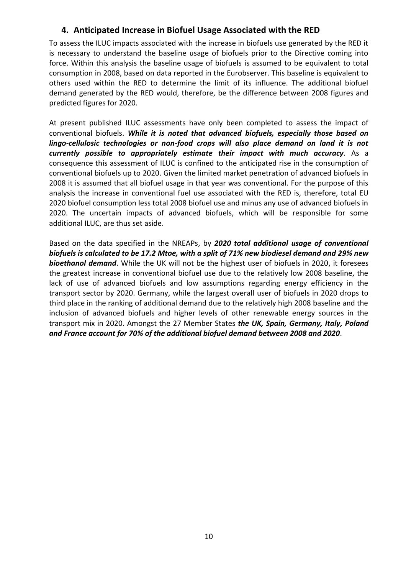## <span id="page-9-0"></span>**4. Anticipated Increase in Biofuel Usage Associated with the RED**

To assess the ILUC impacts associated with the increase in biofuels use generated by the RED it is necessary to understand the baseline usage of biofuels prior to the Directive coming into force. Within this analysis the baseline usage of biofuels is assumed to be equivalent to total consumption in 2008, based on data reported in the Eurobserver. This baseline is equivalent to others used within the RED to determine the limit of its influence. The additional biofuel demand generated by the RED would, therefore, be the difference between 2008 figures and predicted figures for 2020.

At present published ILUC assessments have only been completed to assess the impact of conventional biofuels. *While it is noted that advanced biofuels, especially those based on lingo-cellulosic technologies or non-food crops will also place demand on land it is not currently possible to appropriately estimate their impact with much accuracy*. As a consequence this assessment of ILUC is confined to the anticipated rise in the consumption of conventional biofuels up to 2020. Given the limited market penetration of advanced biofuels in 2008 it is assumed that all biofuel usage in that year was conventional. For the purpose of this analysis the increase in conventional fuel use associated with the RED is, therefore, total EU 2020 biofuel consumption less total 2008 biofuel use and minus any use of advanced biofuels in 2020. The uncertain impacts of advanced biofuels, which will be responsible for some additional ILUC, are thus set aside.

Based on the data specified in the NREAPs, by *2020 total additional usage of conventional biofuels is calculated to be 17.2 Mtoe, with a split of 71% new biodiesel demand and 29% new bioethanol demand*. While the UK will not be the highest user of biofuels in 2020, it foresees the greatest increase in conventional biofuel use due to the relatively low 2008 baseline, the lack of use of advanced biofuels and low assumptions regarding energy efficiency in the transport sector by 2020. Germany, while the largest overall user of biofuels in 2020 drops to third place in the ranking of additional demand due to the relatively high 2008 baseline and the inclusion of advanced biofuels and higher levels of other renewable energy sources in the transport mix in 2020. Amongst the 27 Member States *the UK, Spain, Germany, Italy, Poland and France account for 70% of the additional biofuel demand between 2008 and 2020*.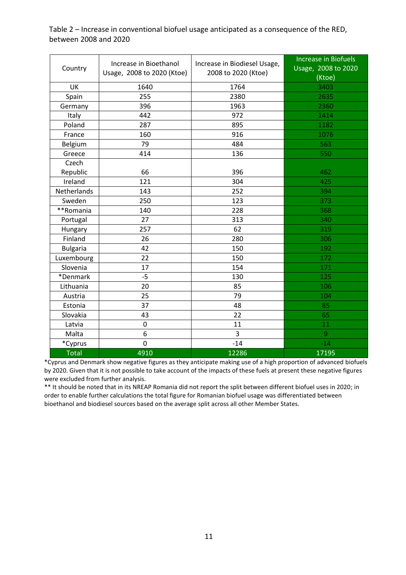| Country         | Increase in Bioethanol<br>Usage, 2008 to 2020 (Ktoe) | Increase in Biodiesel Usage,<br>2008 to 2020 (Ktoe) | <b>Increase in Biofuels</b><br>Usage, 2008 to 2020<br>(Ktoe) |
|-----------------|------------------------------------------------------|-----------------------------------------------------|--------------------------------------------------------------|
| UK              | 1640                                                 | 1764                                                | 3403                                                         |
| Spain           | 255                                                  | 2380                                                | 2635                                                         |
| Germany         | 396                                                  | 1963                                                | 2360                                                         |
| Italy           | 442                                                  | 972                                                 | 1414                                                         |
| Poland          | 287                                                  | 895                                                 | 1182                                                         |
| France          | 160                                                  | 916                                                 | 1076                                                         |
| Belgium         | 79                                                   | 484                                                 | 563                                                          |
| Greece          | 414                                                  | 136                                                 | 550                                                          |
| Czech           |                                                      |                                                     |                                                              |
| Republic        | 66                                                   | 396                                                 | 462                                                          |
| Ireland         | 121                                                  | 304                                                 | 425                                                          |
| Netherlands     | 143                                                  | 252                                                 | 394                                                          |
| Sweden          | 250                                                  | 123                                                 | 373                                                          |
| **Romania       | 140                                                  | 228                                                 | 368                                                          |
| Portugal        | 27                                                   | 313                                                 | 340                                                          |
| Hungary         | 257                                                  | 62                                                  | 319                                                          |
| Finland         | 26                                                   | 280                                                 | 306                                                          |
| <b>Bulgaria</b> | 42                                                   | 150                                                 | 192                                                          |
| Luxembourg      | 22                                                   | 150                                                 | 172                                                          |
| Slovenia        | 17                                                   | 154                                                 | 171                                                          |
| *Denmark        | $-5$                                                 | 130                                                 | 125                                                          |
| Lithuania       | 20                                                   | 85                                                  | 106                                                          |
| Austria         | 25                                                   | 79                                                  | 104                                                          |
| Estonia         | 37                                                   | 48                                                  | 85                                                           |
| Slovakia        | 43                                                   | 22                                                  | 65                                                           |
| Latvia          | $\overline{0}$                                       | 11                                                  | 11                                                           |
| Malta           | 6                                                    | 3                                                   | 9                                                            |
| *Cyprus         | $\mathbf 0$                                          | $-14$                                               | $-14$                                                        |
| Total           | 4910                                                 | 12286                                               | 17195                                                        |

Table 2 – Increase in conventional biofuel usage anticipated as a consequence of the RED, between 2008 and 2020

\*Cyprus and Denmark show negative figures as they anticipate making use of a high proportion of advanced biofuels by 2020. Given that it is not possible to take account of the impacts of these fuels at present these negative figures were excluded from further analysis.

\*\* It should be noted that in its NREAP Romania did not report the split between different biofuel uses in 2020; in order to enable further calculations the total figure for Romanian biofuel usage was differentiated between bioethanol and biodiesel sources based on the average split across all other Member States.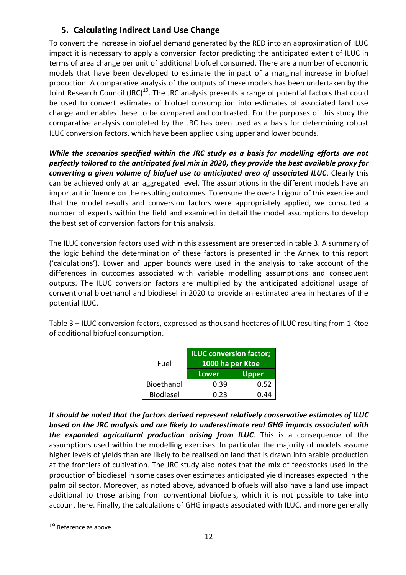# **5. Calculating Indirect Land Use Change**

<span id="page-11-0"></span>To convert the increase in biofuel demand generated by the RED into an approximation of ILUC impact it is necessary to apply a conversion factor predicting the anticipated extent of ILUC in terms of area change per unit of additional biofuel consumed. There are a number of economic models that have been developed to estimate the impact of a marginal increase in biofuel production. A comparative analysis of the outputs of these models has been undertaken by the Joint Research Council (JRC)<sup>19</sup>. The JRC analysis presents a range of potential factors that could be used to convert estimates of biofuel consumption into estimates of associated land use change and enables these to be compared and contrasted. For the purposes of this study the comparative analysis completed by the JRC has been used as a basis for determining robust ILUC conversion factors, which have been applied using upper and lower bounds.

*While the scenarios specified within the JRC study as a basis for modelling efforts are not perfectly tailored to the anticipated fuel mix in 2020, they provide the best available proxy for converting a given volume of biofuel use to anticipated area of associated ILUC*. Clearly this can be achieved only at an aggregated level. The assumptions in the different models have an important influence on the resulting outcomes. To ensure the overall rigour of this exercise and that the model results and conversion factors were appropriately applied, we consulted a number of experts within the field and examined in detail the model assumptions to develop the best set of conversion factors for this analysis.

The ILUC conversion factors used within this assessment are presented in table 3. A summary of the logic behind the determination of these factors is presented in the Annex to this report ('calculations'). Lower and upper bounds were used in the analysis to take account of the differences in outcomes associated with variable modelling assumptions and consequent outputs. The ILUC conversion factors are multiplied by the anticipated additional usage of conventional bioethanol and biodiesel in 2020 to provide an estimated area in hectares of the potential ILUC.

Table 3 – ILUC conversion factors, expressed as thousand hectares of ILUC resulting from 1 Ktoe of additional biofuel consumption.

| Fuel             | <b>ILUC conversion factor;</b><br>1000 ha per Ktoe |              |  |
|------------------|----------------------------------------------------|--------------|--|
|                  | Lower                                              | <b>Upper</b> |  |
| Bioethanol       | 0.39                                               | 0.52         |  |
| <b>Biodiesel</b> | በ.23                                               | በ 44         |  |

*It should be noted that the factors derived represent relatively conservative estimates of ILUC based on the JRC analysis and are likely to underestimate real GHG impacts associated with the expanded agricultural production arising from ILUC*. This is a consequence of the assumptions used within the modelling exercises. In particular the majority of models assume higher levels of yields than are likely to be realised on land that is drawn into arable production at the frontiers of cultivation. The JRC study also notes that the mix of feedstocks used in the production of biodiesel in some cases over estimates anticipated yield increases expected in the palm oil sector. Moreover, as noted above, advanced biofuels will also have a land use impact additional to those arising from conventional biofuels, which it is not possible to take into account here. Finally, the calculations of GHG impacts associated with ILUC, and more generally

<sup>&</sup>lt;sup>19</sup> Reference as above.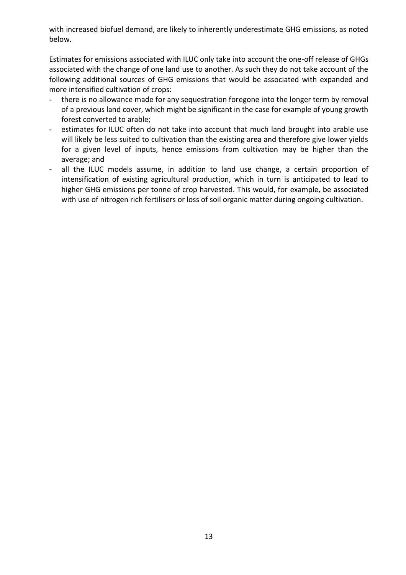with increased biofuel demand, are likely to inherently underestimate GHG emissions, as noted below.

Estimates for emissions associated with ILUC only take into account the one-off release of GHGs associated with the change of one land use to another. As such they do not take account of the following additional sources of GHG emissions that would be associated with expanded and more intensified cultivation of crops:

- there is no allowance made for any sequestration foregone into the longer term by removal of a previous land cover, which might be significant in the case for example of young growth forest converted to arable;
- estimates for ILUC often do not take into account that much land brought into arable use will likely be less suited to cultivation than the existing area and therefore give lower yields for a given level of inputs, hence emissions from cultivation may be higher than the average; and
- all the ILUC models assume, in addition to land use change, a certain proportion of intensification of existing agricultural production, which in turn is anticipated to lead to higher GHG emissions per tonne of crop harvested. This would, for example, be associated with use of nitrogen rich fertilisers or loss of soil organic matter during ongoing cultivation.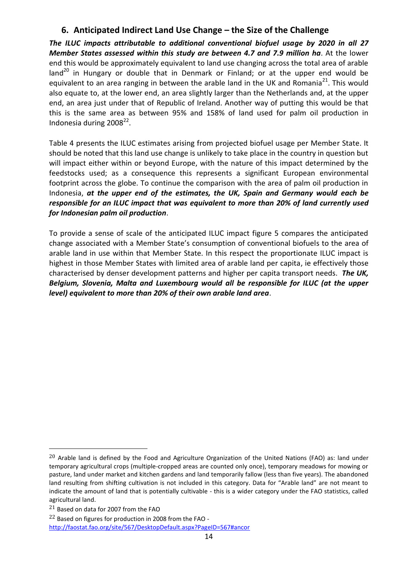# **6. Anticipated Indirect Land Use Change – the Size of the Challenge**

<span id="page-13-0"></span>*The ILUC impacts attributable to additional conventional biofuel usage by 2020 in all 27 Member States assessed within this study are between 4.7 and 7.9 million ha*. At the lower end this would be approximately equivalent to land use changing across the total area of arable land<sup>20</sup> in Hungary or double that in Denmark or Finland; or at the upper end would be equivalent to an area ranging in between the arable land in the UK and Romania<sup>21</sup>. This would also equate to, at the lower end, an area slightly larger than the Netherlands and, at the upper end, an area just under that of Republic of Ireland. Another way of putting this would be that this is the same area as between 95% and 158% of land used for palm oil production in Indonesia during  $2008^{22}$ .

Table 4 presents the ILUC estimates arising from projected biofuel usage per Member State. It should be noted that this land use change is unlikely to take place in the country in question but will impact either within or beyond Europe, with the nature of this impact determined by the feedstocks used; as a consequence this represents a significant European environmental footprint across the globe. To continue the comparison with the area of palm oil production in Indonesia, *at the upper end of the estimates, the UK, Spain and Germany would each be responsible for an ILUC impact that was equivalent to more than 20% of land currently used for Indonesian palm oil production*.

To provide a sense of scale of the anticipated ILUC impact figure 5 compares the anticipated change associated with a Member State's consumption of conventional biofuels to the area of arable land in use within that Member State. In this respect the proportionate ILUC impact is highest in those Member States with limited area of arable land per capita, ie effectively those characterised by denser development patterns and higher per capita transport needs. *The UK, Belgium, Slovenia, Malta and Luxembourg would all be responsible for ILUC (at the upper level) equivalent to more than 20% of their own arable land area*.

 $20$  Arable land is defined by the Food and Agriculture Organization of the United Nations (FAO) as: land under temporary agricultural crops (multiple-cropped areas are counted only once), temporary meadows for mowing or pasture, land under market and kitchen gardens and land temporarily fallow (less than five years). The abandoned land resulting from shifting cultivation is not included in this category. Data for "Arable land" are not meant to indicate the amount of land that is potentially cultivable - this is a wider category under the FAO statistics, called agricultural land.

<sup>21</sup> Based on data for 2007 from the FAO

<sup>22</sup> Based on figures for production in 2008 from the FAO <http://faostat.fao.org/site/567/DesktopDefault.aspx?PageID=567#ancor>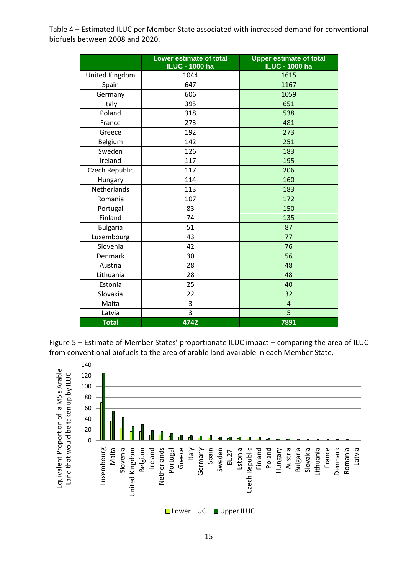Table 4 – Estimated ILUC per Member State associated with increased demand for conventional biofuels between 2008 and 2020.

|                 | <b>Lower estimate of total</b><br><b>ILUC - 1000 ha</b> | <b>Upper estimate of total</b><br><b>ILUC - 1000 ha</b> |  |
|-----------------|---------------------------------------------------------|---------------------------------------------------------|--|
| United Kingdom  | 1044                                                    | 1615                                                    |  |
| Spain           | 647                                                     | 1167                                                    |  |
| Germany         | 606                                                     | 1059                                                    |  |
| Italy           | 395                                                     | 651                                                     |  |
| Poland          | 318                                                     | 538                                                     |  |
| France          | 273                                                     | 481                                                     |  |
| Greece          | 192                                                     | 273                                                     |  |
| Belgium         | 142                                                     | 251                                                     |  |
| Sweden          | 126                                                     | 183                                                     |  |
| Ireland         | 117                                                     | 195                                                     |  |
| Czech Republic  | 117                                                     | 206                                                     |  |
| Hungary         | 114                                                     | 160                                                     |  |
| Netherlands     | 113                                                     | 183                                                     |  |
| Romania         | 107                                                     | 172                                                     |  |
| Portugal        | 83                                                      | 150                                                     |  |
| Finland         | 74                                                      | 135                                                     |  |
| <b>Bulgaria</b> | 51                                                      | 87                                                      |  |
| Luxembourg      | 43                                                      | 77                                                      |  |
| Slovenia        | 42                                                      | 76                                                      |  |
| Denmark         | 30                                                      | 56<br>48                                                |  |
| Austria         | 28                                                      |                                                         |  |
| Lithuania       | 28                                                      | 48                                                      |  |
| Estonia         | 25                                                      | 40                                                      |  |
| Slovakia        | 22                                                      | 32                                                      |  |
| Malta           | 3                                                       | 4                                                       |  |
| Latvia          | 3                                                       | 5                                                       |  |
| <b>Total</b>    | 4742                                                    | 7891                                                    |  |

Figure 5 – Estimate of Member States' proportionate ILUC impact – comparing the area of ILUC from conventional biofuels to the area of arable land available in each Member State.

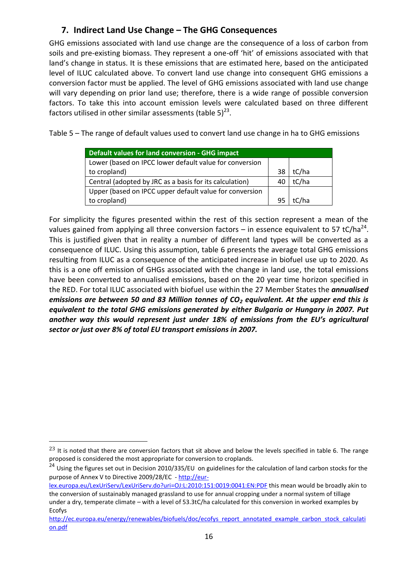# **7. Indirect Land Use Change – The GHG Consequences**

<span id="page-15-0"></span>GHG emissions associated with land use change are the consequence of a loss of carbon from soils and pre-existing biomass. They represent a one-off 'hit' of emissions associated with that land's change in status. It is these emissions that are estimated here, based on the anticipated level of ILUC calculated above. To convert land use change into consequent GHG emissions a conversion factor must be applied. The level of GHG emissions associated with land use change will vary depending on prior land use; therefore, there is a wide range of possible conversion factors. To take this into account emission levels were calculated based on three different factors utilised in other similar assessments (table 5) $^{23}$ .

Table 5 – The range of default values used to convert land use change in ha to GHG emissions

| Default values for land conversion - GHG impact         |    |       |
|---------------------------------------------------------|----|-------|
| Lower (based on IPCC lower default value for conversion |    |       |
| to cropland)                                            | 38 | tC/ha |
| Central (adopted by JRC as a basis for its calculation) | 40 | tC/ha |
| Upper (based on IPCC upper default value for conversion |    |       |
| to cropland)                                            | 95 | tC/ha |

For simplicity the figures presented within the rest of this section represent a mean of the values gained from applying all three conversion factors  $-$  in essence equivalent to 57 tC/ha<sup>24</sup>. This is justified given that in reality a number of different land types will be converted as a consequence of ILUC. Using this assumption, table 6 presents the average total GHG emissions resulting from ILUC as a consequence of the anticipated increase in biofuel use up to 2020. As this is a one off emission of GHGs associated with the change in land use, the total emissions have been converted to annualised emissions, based on the 20 year time horizon specified in the RED. For total ILUC associated with biofuel use within the 27 Member States the *annualised emissions are between 50 and 83 Million tonnes of CO<sup>2</sup> equivalent. At the upper end this is equivalent to the total GHG emissions generated by either Bulgaria or Hungary in 2007. Put another way this would represent just under 18% of emissions from the EU's agricultural sector or just over 8% of total EU transport emissions in 2007.*

 $^{23}$  It is noted that there are conversion factors that sit above and below the levels specified in table 6. The range proposed is considered the most appropriate for conversion to croplands.

<sup>&</sup>lt;sup>24</sup> Using the figures set out in Decision 2010/335/EU on guidelines for the calculation of land carbon stocks for the purpose of Annex V to Directive 2009/28/EC - [http://eur-](http://eur-lex.europa.eu/LexUriServ/LexUriServ.do?uri=OJ:L:2010:151:0019:0041:EN:PDF)

[lex.europa.eu/LexUriServ/LexUriServ.do?uri=OJ:L:2010:151:0019:0041:EN:PDF](http://eur-lex.europa.eu/LexUriServ/LexUriServ.do?uri=OJ:L:2010:151:0019:0041:EN:PDF) this mean would be broadly akin to the conversion of sustainably managed grassland to use for annual cropping under a normal system of tillage under a dry, temperate climate – with a level of 53.3tC/ha calculated for this conversion in worked examples by Ecofys

[http://ec.europa.eu/energy/renewables/biofuels/doc/ecofys\\_report\\_annotated\\_example\\_carbon\\_stock\\_calculati](http://ec.europa.eu/energy/renewables/biofuels/doc/ecofys_report_annotated_example_carbon_stock_calculation.pdf) [on.pdf](http://ec.europa.eu/energy/renewables/biofuels/doc/ecofys_report_annotated_example_carbon_stock_calculation.pdf)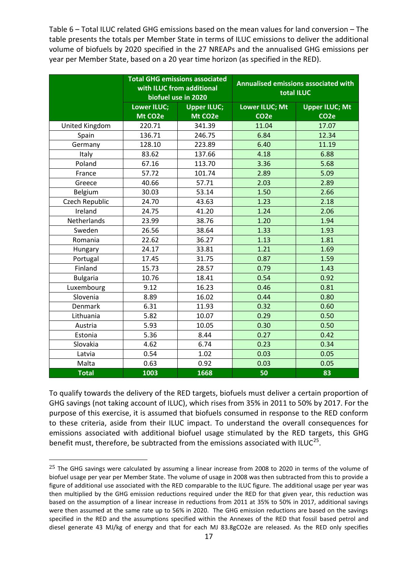Table 6 – Total ILUC related GHG emissions based on the mean values for land conversion – The table presents the totals per Member State in terms of ILUC emissions to deliver the additional volume of biofuels by 2020 specified in the 27 NREAPs and the annualised GHG emissions per year per Member State, based on a 20 year time horizon (as specified in the RED).

|                 | <b>Total GHG emissions associated</b><br>with ILUC from additional<br>biofuel use in 2020 |                                            | <b>Annualised emissions associated with</b><br>total ILUC |                                            |
|-----------------|-------------------------------------------------------------------------------------------|--------------------------------------------|-----------------------------------------------------------|--------------------------------------------|
|                 | <b>Lower ILUC;</b><br>Mt CO <sub>2</sub> e                                                | <b>Upper ILUC;</b><br>Mt CO <sub>2</sub> e | <b>Lower ILUC; Mt</b><br>CO <sub>2</sub> e                | <b>Upper ILUC; Mt</b><br>CO <sub>2</sub> e |
| United Kingdom  | 220.71                                                                                    | 341.39                                     | 11.04                                                     | 17.07                                      |
| Spain           | 136.71                                                                                    | 246.75                                     | 6.84                                                      | 12.34                                      |
| Germany         | 128.10                                                                                    | 223.89                                     | 6.40                                                      | 11.19                                      |
| Italy           | 83.62                                                                                     | 137.66                                     | 4.18                                                      | 6.88                                       |
| Poland          | 67.16                                                                                     | 113.70                                     | 3.36                                                      | 5.68                                       |
| France          | 57.72                                                                                     | 101.74                                     | 2.89                                                      | 5.09                                       |
| Greece          | 40.66                                                                                     | 57.71                                      | 2.03                                                      | 2.89                                       |
| Belgium         | 30.03                                                                                     | 53.14                                      | 1.50                                                      | 2.66                                       |
| Czech Republic  | 24.70                                                                                     | 43.63                                      | 1.23                                                      | 2.18                                       |
| Ireland         | 24.75                                                                                     | 41.20                                      | 1.24                                                      | 2.06                                       |
| Netherlands     | 23.99                                                                                     | 38.76                                      | 1.20                                                      | 1.94                                       |
| Sweden          | 26.56                                                                                     | 38.64                                      | 1.33                                                      | 1.93                                       |
| Romania         | 22.62                                                                                     | 36.27                                      | 1.13                                                      | 1.81                                       |
| Hungary         | 24.17                                                                                     | 33.81                                      | 1.21                                                      | 1.69                                       |
| Portugal        | 17.45                                                                                     | 31.75                                      | 0.87                                                      | 1.59                                       |
| Finland         | 15.73                                                                                     | 28.57                                      | 0.79                                                      | 1.43                                       |
| <b>Bulgaria</b> | 10.76                                                                                     | 18.41                                      | 0.54                                                      | 0.92                                       |
| Luxembourg      | 9.12                                                                                      | 16.23                                      | 0.46                                                      | 0.81                                       |
| Slovenia        | 8.89                                                                                      | 16.02                                      | 0.44                                                      | 0.80                                       |
| Denmark         | 6.31                                                                                      | 11.93                                      | 0.32                                                      | 0.60                                       |
| Lithuania       | 5.82                                                                                      | 10.07                                      | 0.29                                                      | 0.50                                       |
| Austria         | 5.93                                                                                      | 10.05                                      | 0.30                                                      | 0.50                                       |
| Estonia         | 5.36                                                                                      | 8.44                                       | 0.27                                                      | 0.42                                       |
| Slovakia        | 4.62                                                                                      | 6.74                                       | 0.23                                                      | 0.34                                       |
| Latvia          | 0.54                                                                                      | 1.02                                       | 0.03                                                      | 0.05                                       |
| Malta           | 0.63                                                                                      | 0.92                                       | 0.03                                                      | 0.05                                       |
| <b>Total</b>    | 1003                                                                                      | 1668                                       | 50                                                        | 83                                         |

To qualify towards the delivery of the RED targets, biofuels must deliver a certain proportion of GHG savings (not taking account of ILUC), which rises from 35% in 2011 to 50% by 2017. For the purpose of this exercise, it is assumed that biofuels consumed in response to the RED conform to these criteria, aside from their ILUC impact. To understand the overall consequences for emissions associated with additional biofuel usage stimulated by the RED targets, this GHG benefit must, therefore, be subtracted from the emissions associated with ILUC<sup>25</sup>.

 $\overline{a}$ 

<sup>&</sup>lt;sup>25</sup> The GHG savings were calculated by assuming a linear increase from 2008 to 2020 in terms of the volume of biofuel usage per year per Member State. The volume of usage in 2008 was then subtracted from this to provide a figure of additional use associated with the RED comparable to the ILUC figure. The additional usage per year was then multiplied by the GHG emission reductions required under the RED for that given year, this reduction was based on the assumption of a linear increase in reductions from 2011 at 35% to 50% in 2017, additional savings were then assumed at the same rate up to 56% in 2020. The GHG emission reductions are based on the savings specified in the RED and the assumptions specified within the Annexes of the RED that fossil based petrol and diesel generate 43 MJ/kg of energy and that for each MJ 83.8gCO2e are released. As the RED only specifies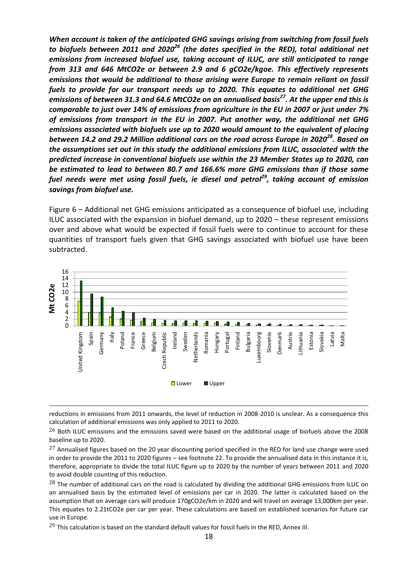*When account is taken of the anticipated GHG savings arising from switching from fossil fuels to biofuels between 2011 and 2020<sup>26</sup> (the dates specified in the RED), total additional net emissions from increased biofuel use, taking account of ILUC, are still anticipated to range from 313 and 646 MtCO2e or between 2.9 and 6 gCO2e/kgoe. This effectively represents emissions that would be additional to those arising were Europe to remain reliant on fossil fuels to provide for our transport needs up to 2020. This equates to additional net GHG emissions of between 31.3 and 64.6 MtCO2e on an annualised basis<sup>27</sup>. At the upper end this is comparable to just over 14% of emissions from agriculture in the EU in 2007 or just under 7% of emissions from transport in the EU in 2007. Put another way, the additional net GHG emissions associated with biofuels use up to 2020 would amount to the equivalent of placing between 14.2 and 29.2 Million additional cars on the road across Europe in 2020<sup>28</sup> . Based on the assumptions set out in this study the additional emissions from ILUC, associated with the predicted increase in conventional biofuels use within the 23 Member States up to 2020, can be estimated to lead to between 80.7 and 166.6% more GHG emissions than if those same fuel needs were met using fossil fuels, ie diesel and petrol<sup>29</sup>, taking account of emission savings from biofuel use.*

Figure 6 – Additional net GHG emissions anticipated as a consequence of biofuel use, including ILUC associated with the expansion in biofuel demand, up to 2020 – these represent emissions over and above what would be expected if fossil fuels were to continue to account for these quantities of transport fuels given that GHG savings associated with biofuel use have been subtracted.



reductions in emissions from 2011 onwards, the level of reduction in 2008-2010 is unclear. As a consequence this calculation of additional emissions was only applied to 2011 to 2020.

<sup>&</sup>lt;sup>26</sup> Both ILUC emissions and the emissions saved were based on the additional usage of biofuels above the 2008 baseline up to 2020.

 $27$  Annualised figures based on the 20 year discounting period specified in the RED for land use change were used in order to provide the 2011 to 2020 figures – see footnote 22. To provide the annualised data in this instance it is, therefore, appropriate to divide the total ILUC figure up to 2020 by the number of years between 2011 and 2020 to avoid double counting of this reduction.

<sup>&</sup>lt;sup>28</sup> The number of additional cars on the road is calculated by dividing the additional GHG emissions from ILUC on an annualised basis by the estimated level of emissions per car in 2020. The latter is calculated based on the assumption that on average cars will produce 170gCO2e/km in 2020 and will travel on average 13,000km per year. This equates to 2.21tCO2e per car per year. These calculations are based on established scenarios for future car use in Europe.

<sup>&</sup>lt;sup>29</sup> This calculation is based on the standard default values for fossil fuels in the RED, Annex III.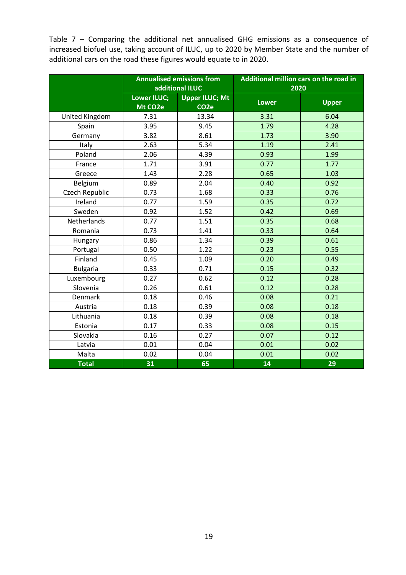Table 7 – Comparing the additional net annualised GHG emissions as a consequence of increased biofuel use, taking account of ILUC, up to 2020 by Member State and the number of additional cars on the road these figures would equate to in 2020.

|                 | <b>Annualised emissions from</b><br>additional ILUC |                       | Additional million cars on the road in |              |
|-----------------|-----------------------------------------------------|-----------------------|----------------------------------------|--------------|
|                 |                                                     |                       | 2020                                   |              |
|                 | <b>Lower ILUC;</b>                                  | <b>Upper ILUC; Mt</b> | <b>Lower</b>                           | <b>Upper</b> |
|                 | Mt CO <sub>2</sub> e                                | CO <sub>2</sub> e     |                                        |              |
| United Kingdom  | 7.31                                                | 13.34                 | 3.31                                   | 6.04         |
| Spain           | 3.95                                                | 9.45                  | 1.79                                   | 4.28         |
| Germany         | 3.82                                                | 8.61                  | 1.73                                   | 3.90         |
| Italy           | 2.63                                                | 5.34                  | 1.19                                   | 2.41         |
| Poland          | 2.06                                                | 4.39                  | 0.93                                   | 1.99         |
| France          | 1.71                                                | 3.91                  | 0.77                                   | 1.77         |
| Greece          | 1.43                                                | 2.28                  | 0.65                                   | 1.03         |
| Belgium         | 0.89                                                | 2.04                  | 0.40                                   | 0.92         |
| Czech Republic  | 0.73                                                | 1.68                  | 0.33                                   | 0.76         |
| Ireland         | 0.77                                                | 1.59                  | 0.35                                   | 0.72         |
| Sweden          | 0.92                                                | 1.52                  | 0.42                                   | 0.69         |
| Netherlands     | 0.77                                                | 1.51                  | 0.35                                   | 0.68         |
| Romania         | 0.73                                                | 1.41                  | 0.33                                   | 0.64         |
| Hungary         | 0.86                                                | 1.34                  | 0.39                                   | 0.61         |
| Portugal        | 0.50                                                | 1.22                  | 0.23                                   | 0.55         |
| Finland         | 0.45                                                | 1.09                  | 0.20                                   | 0.49         |
| <b>Bulgaria</b> | 0.33                                                | 0.71                  | 0.15                                   | 0.32         |
| Luxembourg      | 0.27                                                | 0.62                  | 0.12                                   | 0.28         |
| Slovenia        | 0.26                                                | 0.61                  | 0.12                                   | 0.28         |
| <b>Denmark</b>  | 0.18                                                | 0.46                  | 0.08                                   | 0.21         |
| Austria         | 0.18                                                | 0.39                  | 0.08                                   | 0.18         |
| Lithuania       | 0.18                                                | 0.39                  | 0.08                                   | 0.18         |
| Estonia         | 0.17                                                | 0.33                  | 0.08                                   | 0.15         |
| Slovakia        | 0.16                                                | 0.27                  | 0.07                                   | 0.12         |
| Latvia          | 0.01                                                | 0.04                  | 0.01                                   | 0.02         |
| Malta           | 0.02                                                | 0.04                  | 0.01                                   | 0.02         |
| <b>Total</b>    | 31                                                  | 65                    | 14                                     | 29           |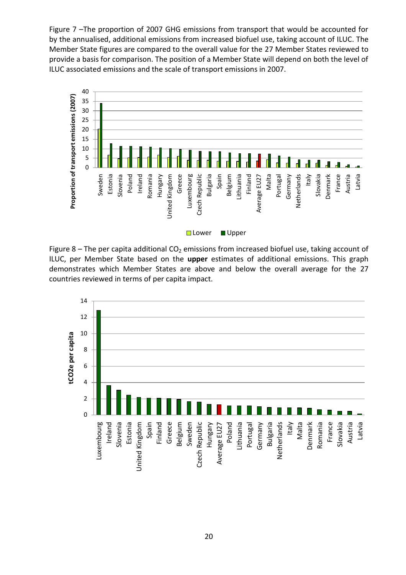Figure 7 –The proportion of 2007 GHG emissions from transport that would be accounted for by the annualised, additional emissions from increased biofuel use, taking account of ILUC. The Member State figures are compared to the overall value for the 27 Member States reviewed to provide a basis for comparison. The position of a Member State will depend on both the level of ILUC associated emissions and the scale of transport emissions in 2007.



Figure 8 – The per capita additional  $CO<sub>2</sub>$  emissions from increased biofuel use, taking account of ILUC, per Member State based on the **upper** estimates of additional emissions. This graph demonstrates which Member States are above and below the overall average for the 27 countries reviewed in terms of per capita impact.

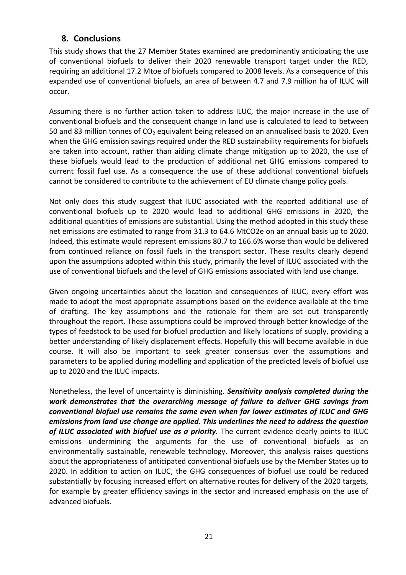### <span id="page-20-0"></span>**8. Conclusions**

This study shows that the 27 Member States examined are predominantly anticipating the use of conventional biofuels to deliver their 2020 renewable transport target under the RED, requiring an additional 17.2 Mtoe of biofuels compared to 2008 levels. As a consequence of this expanded use of conventional biofuels, an area of between 4.7 and 7.9 million ha of ILUC will occur.

Assuming there is no further action taken to address ILUC, the major increase in the use of conventional biofuels and the consequent change in land use is calculated to lead to between 50 and 83 million tonnes of  $CO<sub>2</sub>$  equivalent being released on an annualised basis to 2020. Even when the GHG emission savings required under the RED sustainability requirements for biofuels are taken into account, rather than aiding climate change mitigation up to 2020, the use of these biofuels would lead to the production of additional net GHG emissions compared to current fossil fuel use. As a consequence the use of these additional conventional biofuels cannot be considered to contribute to the achievement of EU climate change policy goals.

Not only does this study suggest that ILUC associated with the reported additional use of conventional biofuels up to 2020 would lead to additional GHG emissions in 2020, the additional quantities of emissions are substantial. Using the method adopted in this study these net emissions are estimated to range from 31.3 to 64.6 MtCO2e on an annual basis up to 2020. Indeed, this estimate would represent emissions 80.7 to 166.6% worse than would be delivered from continued reliance on fossil fuels in the transport sector. These results clearly depend upon the assumptions adopted within this study, primarily the level of ILUC associated with the use of conventional biofuels and the level of GHG emissions associated with land use change.

Given ongoing uncertainties about the location and consequences of ILUC, every effort was made to adopt the most appropriate assumptions based on the evidence available at the time of drafting. The key assumptions and the rationale for them are set out transparently throughout the report. These assumptions could be improved through better knowledge of the types of feedstock to be used for biofuel production and likely locations of supply, providing a better understanding of likely displacement effects. Hopefully this will become available in due course. It will also be important to seek greater consensus over the assumptions and parameters to be applied during modelling and application of the predicted levels of biofuel use up to 2020 and the ILUC impacts.

Nonetheless, the level of uncertainty is diminishing. *Sensitivity analysis completed during the work demonstrates that the overarching message of failure to deliver GHG savings from conventional biofuel use remains the same even when far lower estimates of ILUC and GHG emissions from land use change are applied. This underlines the need to address the question of ILUC associated with biofuel use as a priority.* The current evidence clearly points to ILUC emissions undermining the arguments for the use of conventional biofuels as an environmentally sustainable, renewable technology. Moreover, this analysis raises questions about the appropriateness of anticipated conventional biofuels use by the Member States up to 2020. In addition to action on ILUC, the GHG consequences of biofuel use could be reduced substantially by focusing increased effort on alternative routes for delivery of the 2020 targets, for example by greater efficiency savings in the sector and increased emphasis on the use of advanced biofuels.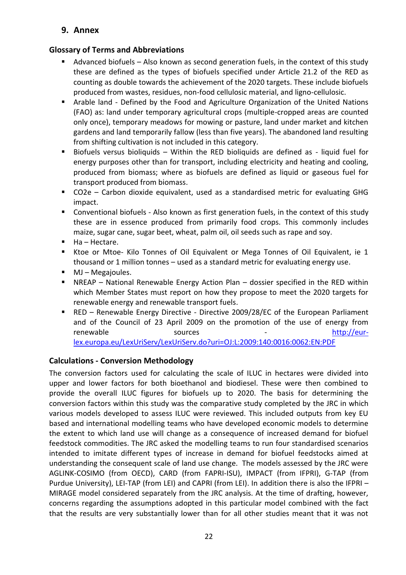<span id="page-21-0"></span>**9. Annex**

### **Glossary of Terms and Abbreviations**

- Advanced biofuels Also known as second generation fuels, in the context of this study these are defined as the types of biofuels specified under Article 21.2 of the RED as counting as double towards the achievement of the 2020 targets. These include biofuels produced from wastes, residues, non-food cellulosic material, and ligno-cellulosic.
- Arable land Defined by the Food and Agriculture Organization of the United Nations (FAO) as: land under temporary agricultural crops (multiple-cropped areas are counted only once), temporary meadows for mowing or pasture, land under market and kitchen gardens and land temporarily fallow (less than five years). The abandoned land resulting from shifting cultivation is not included in this category.
- Biofuels versus bioliquids Within the RED bioliquids are defined as liquid fuel for energy purposes other than for transport, including electricity and heating and cooling, produced from biomass; where as biofuels are defined as liquid or gaseous fuel for transport produced from biomass.
- CO2e Carbon dioxide equivalent, used as a standardised metric for evaluating GHG impact.
- Conventional biofuels Also known as first generation fuels, in the context of this study these are in essence produced from primarily food crops. This commonly includes maize, sugar cane, sugar beet, wheat, palm oil, oil seeds such as rape and soy.
- $Ha Hect$ are.
- Ktoe or Mtoe- Kilo Tonnes of Oil Equivalent or Mega Tonnes of Oil Equivalent, ie 1 thousand or 1 million tonnes – used as a standard metric for evaluating energy use.
- MJ Megajoules.
- NREAP National Renewable Energy Action Plan dossier specified in the RED within which Member States must report on how they propose to meet the 2020 targets for renewable energy and renewable transport fuels.
- RED Renewable Energy Directive Directive 2009/28/EC of the European Parliament and of the Council of 23 April 2009 on the promotion of the use of energy from renewable sources - [http://eur](http://eur-lex.europa.eu/LexUriServ/LexUriServ.do?uri=OJ:L:2009:140:0016:0062:EN:PDF)[lex.europa.eu/LexUriServ/LexUriServ.do?uri=OJ:L:2009:140:0016:0062:EN:PDF](http://eur-lex.europa.eu/LexUriServ/LexUriServ.do?uri=OJ:L:2009:140:0016:0062:EN:PDF)

#### **Calculations - Conversion Methodology**

The conversion factors used for calculating the scale of ILUC in hectares were divided into upper and lower factors for both bioethanol and biodiesel. These were then combined to provide the overall ILUC figures for biofuels up to 2020. The basis for determining the conversion factors within this study was the comparative study completed by the JRC in which various models developed to assess ILUC were reviewed. This included outputs from key EU based and international modelling teams who have developed economic models to determine the extent to which land use will change as a consequence of increased demand for biofuel feedstock commodities. The JRC asked the modelling teams to run four standardised scenarios intended to imitate different types of increase in demand for biofuel feedstocks aimed at understanding the consequent scale of land use change. The models assessed by the JRC were AGLINK-COSIMO (from OECD), CARD (from FAPRI-ISU), IMPACT (from IFPRI), G-TAP (from Purdue University), LEI-TAP (from LEI) and CAPRI (from LEI). In addition there is also the IFPRI – MIRAGE model considered separately from the JRC analysis. At the time of drafting, however, concerns regarding the assumptions adopted in this particular model combined with the fact that the results are very substantially lower than for all other studies meant that it was not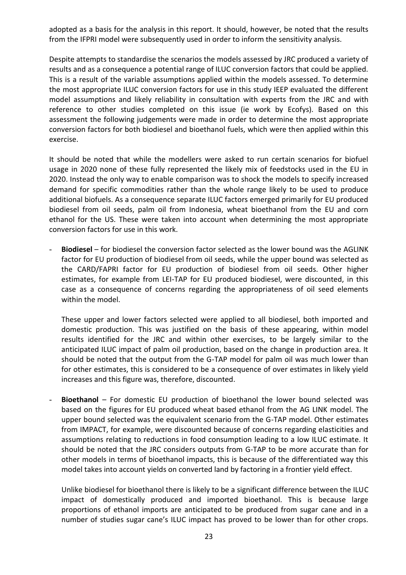adopted as a basis for the analysis in this report. It should, however, be noted that the results from the IFPRI model were subsequently used in order to inform the sensitivity analysis.

Despite attempts to standardise the scenarios the models assessed by JRC produced a variety of results and as a consequence a potential range of ILUC conversion factors that could be applied. This is a result of the variable assumptions applied within the models assessed. To determine the most appropriate ILUC conversion factors for use in this study IEEP evaluated the different model assumptions and likely reliability in consultation with experts from the JRC and with reference to other studies completed on this issue (ie work by Ecofys). Based on this assessment the following judgements were made in order to determine the most appropriate conversion factors for both biodiesel and bioethanol fuels, which were then applied within this exercise.

It should be noted that while the modellers were asked to run certain scenarios for biofuel usage in 2020 none of these fully represented the likely mix of feedstocks used in the EU in 2020. Instead the only way to enable comparison was to shock the models to specify increased demand for specific commodities rather than the whole range likely to be used to produce additional biofuels. As a consequence separate ILUC factors emerged primarily for EU produced biodiesel from oil seeds, palm oil from Indonesia, wheat bioethanol from the EU and corn ethanol for the US. These were taken into account when determining the most appropriate conversion factors for use in this work.

- **Biodiesel** – for biodiesel the conversion factor selected as the lower bound was the AGLINK factor for EU production of biodiesel from oil seeds, while the upper bound was selected as the CARD/FAPRI factor for EU production of biodiesel from oil seeds. Other higher estimates, for example from LEI-TAP for EU produced biodiesel, were discounted, in this case as a consequence of concerns regarding the appropriateness of oil seed elements within the model.

These upper and lower factors selected were applied to all biodiesel, both imported and domestic production. This was justified on the basis of these appearing, within model results identified for the JRC and within other exercises, to be largely similar to the anticipated ILUC impact of palm oil production, based on the change in production area. It should be noted that the output from the G-TAP model for palm oil was much lower than for other estimates, this is considered to be a consequence of over estimates in likely yield increases and this figure was, therefore, discounted.

- **Bioethanol** – For domestic EU production of bioethanol the lower bound selected was based on the figures for EU produced wheat based ethanol from the AG LINK model. The upper bound selected was the equivalent scenario from the G-TAP model. Other estimates from IMPACT, for example, were discounted because of concerns regarding elasticities and assumptions relating to reductions in food consumption leading to a low ILUC estimate. It should be noted that the JRC considers outputs from G-TAP to be more accurate than for other models in terms of bioethanol impacts, this is because of the differentiated way this model takes into account yields on converted land by factoring in a frontier yield effect.

Unlike biodiesel for bioethanol there is likely to be a significant difference between the ILUC impact of domestically produced and imported bioethanol. This is because large proportions of ethanol imports are anticipated to be produced from sugar cane and in a number of studies sugar cane's ILUC impact has proved to be lower than for other crops.